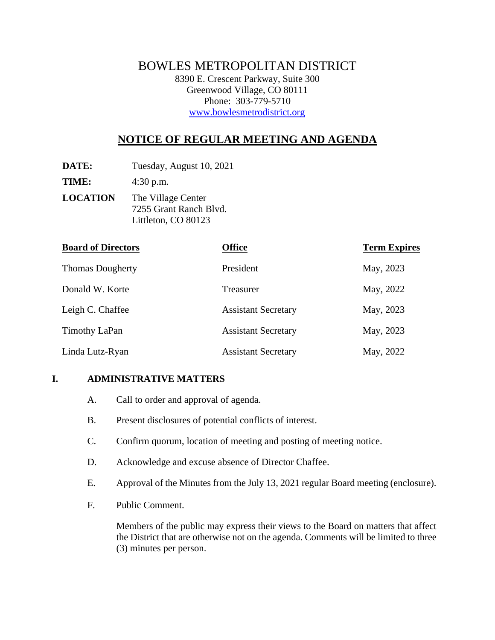# BOWLES METROPOLITAN DISTRICT

8390 E. Crescent Parkway, Suite 300 Greenwood Village, CO 80111 Phone: 303-779-5710 www.bowlesmetrodistrict.org

# **NOTICE OF REGULAR MEETING AND AGENDA**

**DATE:** Tuesday, August 10, 2021

**TIME:** 4:30 p.m.

**LOCATION** The Village Center 7255 Grant Ranch Blvd. Littleton, CO 80123

| <b>Board of Directors</b> | <b>Office</b>              | <b>Term Expires</b> |
|---------------------------|----------------------------|---------------------|
| <b>Thomas Dougherty</b>   | President                  | May, 2023           |
| Donald W. Korte           | Treasurer                  | May, 2022           |
| Leigh C. Chaffee          | <b>Assistant Secretary</b> | May, 2023           |
| Timothy LaPan             | <b>Assistant Secretary</b> | May, 2023           |
| Linda Lutz-Ryan           | <b>Assistant Secretary</b> | May, 2022           |

## **I. ADMINISTRATIVE MATTERS**

- A. Call to order and approval of agenda.
- B. Present disclosures of potential conflicts of interest.
- C. Confirm quorum, location of meeting and posting of meeting notice.
- D. Acknowledge and excuse absence of Director Chaffee.
- E. Approval of the Minutes from the July 13, 2021 regular Board meeting (enclosure).
- F. Public Comment.

Members of the public may express their views to the Board on matters that affect the District that are otherwise not on the agenda. Comments will be limited to three (3) minutes per person.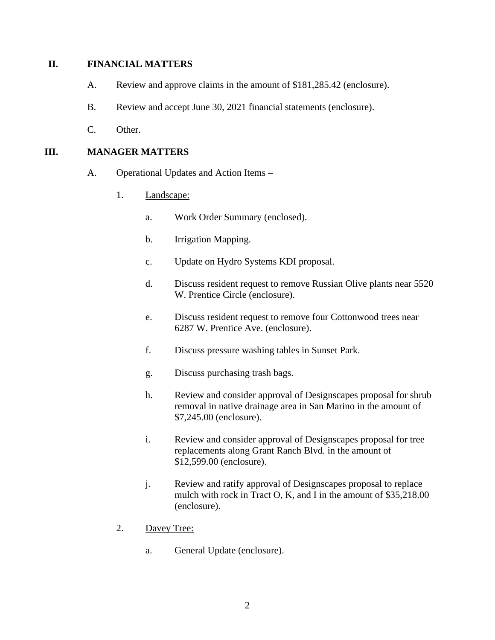#### **II. FINANCIAL MATTERS**

- A. Review and approve claims in the amount of \$181,285.42 (enclosure).
- B. Review and accept June 30, 2021 financial statements (enclosure).
- C. Other.

#### **III. MANAGER MATTERS**

- A. Operational Updates and Action Items
	- 1. Landscape:
		- a. Work Order Summary (enclosed).
		- b. Irrigation Mapping.
		- c. Update on Hydro Systems KDI proposal.
		- d. Discuss resident request to remove Russian Olive plants near 5520 W. Prentice Circle (enclosure).
		- e. Discuss resident request to remove four Cottonwood trees near 6287 W. Prentice Ave. (enclosure).
		- f. Discuss pressure washing tables in Sunset Park.
		- g. Discuss purchasing trash bags.
		- h. Review and consider approval of Designscapes proposal for shrub removal in native drainage area in San Marino in the amount of \$7,245.00 (enclosure).
		- i. Review and consider approval of Designscapes proposal for tree replacements along Grant Ranch Blvd. in the amount of \$12,599.00 (enclosure).
		- j. Review and ratify approval of Designscapes proposal to replace mulch with rock in Tract O, K, and I in the amount of \$35,218.00 (enclosure).
	- 2. Davey Tree:
		- a. General Update (enclosure).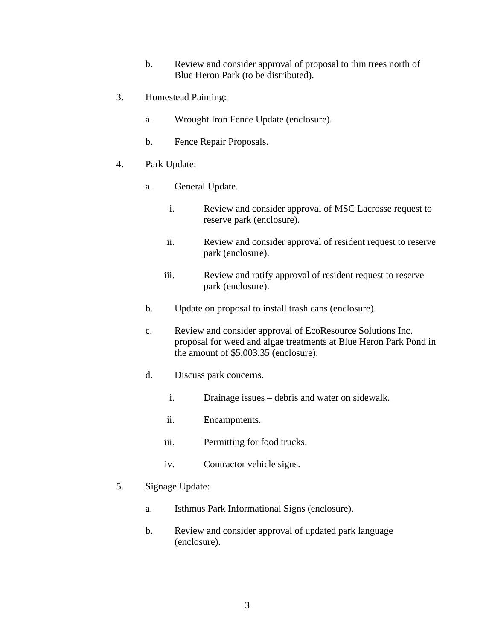- b. Review and consider approval of proposal to thin trees north of Blue Heron Park (to be distributed).
- 3. Homestead Painting:
	- a. Wrought Iron Fence Update (enclosure).
	- b. Fence Repair Proposals.
- 4. Park Update:
	- a. General Update.
		- i. Review and consider approval of MSC Lacrosse request to reserve park (enclosure).
		- ii. Review and consider approval of resident request to reserve park (enclosure).
		- iii. Review and ratify approval of resident request to reserve park (enclosure).
	- b. Update on proposal to install trash cans (enclosure).
	- c. Review and consider approval of EcoResource Solutions Inc. proposal for weed and algae treatments at Blue Heron Park Pond in the amount of \$5,003.35 (enclosure).
	- d. Discuss park concerns.
		- i. Drainage issues debris and water on sidewalk.
		- ii. Encampments.
		- iii. Permitting for food trucks.
		- iv. Contractor vehicle signs.
- 5. Signage Update:
	- a. Isthmus Park Informational Signs (enclosure).
	- b. Review and consider approval of updated park language (enclosure).